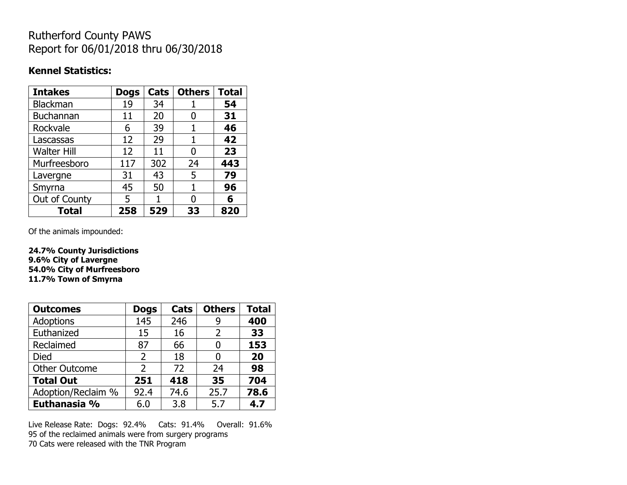# Rutherford County PAWS Report for 06/01/2018 thru 06/30/2018

#### **Kennel Statistics:**

| <b>Intakes</b>     | <b>Dogs</b> | Cats | <b>Others</b> | <b>Total</b> |
|--------------------|-------------|------|---------------|--------------|
| <b>Blackman</b>    | 19          | 34   |               | 54           |
| <b>Buchannan</b>   | 11          | 20   | O             | 31           |
| Rockvale           | 6           | 39   | 1             | 46           |
| Lascassas          | 12          | 29   | 1             | 42           |
| <b>Walter Hill</b> | 12          | 11   | O             | 23           |
| Murfreesboro       | 117         | 302  | 24            | 443          |
| Lavergne           | 31          | 43   | 5             | 79           |
| Smyrna             | 45          | 50   | 1             | 96           |
| Out of County      | 5           |      | N             | 6            |
| <b>Total</b>       | 258         | 529  | 33            | 820          |

Of the animals impounded:

**24.7% County Jurisdictions 9.6% City of Lavergne 54.0% City of Murfreesboro 11.7% Town of Smyrna**

| <b>Outcomes</b>      | <b>Dogs</b>    | Cats | <b>Others</b> | <b>Total</b> |
|----------------------|----------------|------|---------------|--------------|
| Adoptions            | 145            | 246  | 9             | 400          |
| Euthanized           | 15             | 16   | 2             | 33           |
| Reclaimed            | 87             | 66   |               | 153          |
| <b>Died</b>          | $\overline{2}$ | 18   |               | 20           |
| <b>Other Outcome</b> | $\mathcal{P}$  | 72   | 24            | 98           |
| <b>Total Out</b>     | 251            | 418  | 35            | 704          |
| Adoption/Reclaim %   | 92.4           | 74.6 | 25.7          | 78.6         |
| Euthanasia %         | 6.0            | 3.8  | 5.7           | 4.7          |

Live Release Rate: Dogs: 92.4% Cats: 91.4% Overall: 91.6% 95 of the reclaimed animals were from surgery programs 70 Cats were released with the TNR Program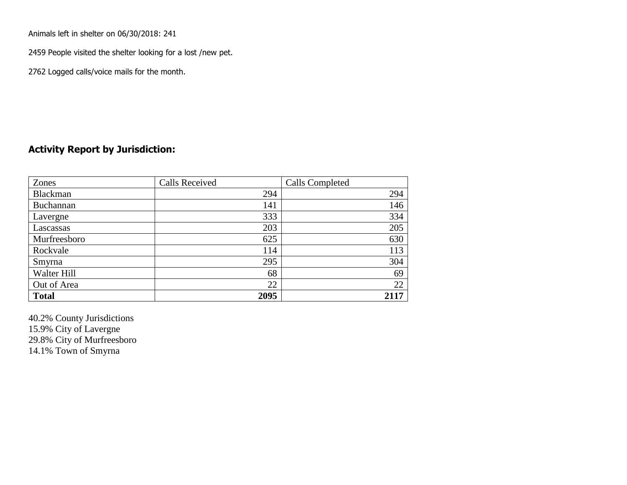Animals left in shelter on 06/30/2018: 241

2459 People visited the shelter looking for a lost /new pet.

2762 Logged calls/voice mails for the month.

### **Activity Report by Jurisdiction:**

| Zones           | <b>Calls Received</b> | Calls Completed |
|-----------------|-----------------------|-----------------|
| <b>Blackman</b> | 294                   | 294             |
| Buchannan       | 141                   | 146             |
| Lavergne        | 333                   | 334             |
| Lascassas       | 203                   | 205             |
| Murfreesboro    | 625                   | 630             |
| Rockvale        | 114                   | 113             |
| Smyrna          | 295                   | 304             |
| Walter Hill     | 68                    | 69              |
| Out of Area     | 22                    | 22              |
| <b>Total</b>    | 2095                  | 2117            |

40.2% County Jurisdictions 15.9% City of Lavergne 29.8% City of Murfreesboro 14.1% Town of Smyrna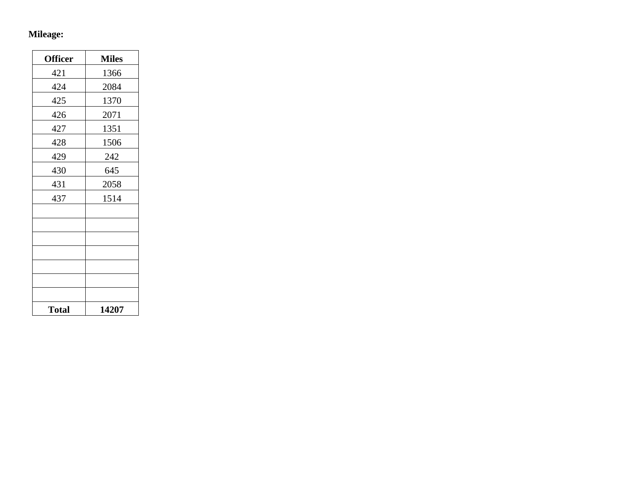## **Mileage:**

| <b>Officer</b> | <b>Miles</b> |
|----------------|--------------|
| 421            | 1366         |
| 424            | 2084         |
| 425            | 1370         |
| 426            | 2071         |
| 427            | 1351         |
| 428            | 1506         |
| 429            | 242          |
| 430            | 645          |
| 431            | 2058         |
| 437            | 1514         |
|                |              |
|                |              |
|                |              |
|                |              |
|                |              |
|                |              |
|                |              |
| <b>Total</b>   | 14207        |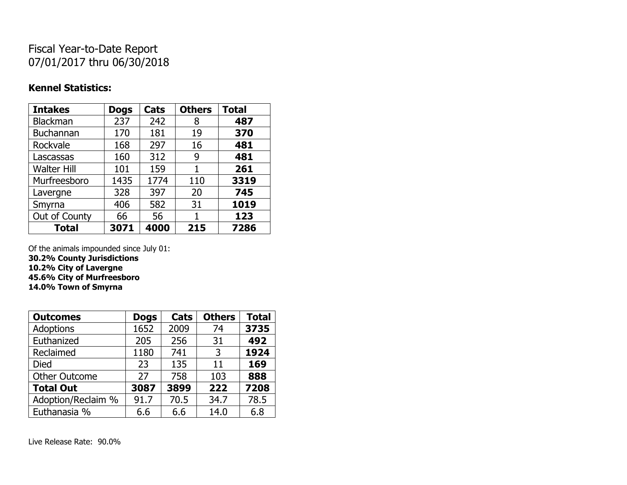# Fiscal Year-to-Date Report 07/01/2017 thru 06/30/2018

### **Kennel Statistics:**

| <b>Intakes</b>     | <b>Dogs</b> | Cats | <b>Others</b> | <b>Total</b> |
|--------------------|-------------|------|---------------|--------------|
| <b>Blackman</b>    | 237         | 242  | 8             | 487          |
| <b>Buchannan</b>   | 170         | 181  | 19            | 370          |
| Rockvale           | 168         | 297  | 16            | 481          |
| Lascassas          | 160         | 312  | 9             | 481          |
| <b>Walter Hill</b> | 101         | 159  | 1             | 261          |
| Murfreesboro       | 1435        | 1774 | 110           | 3319         |
| Lavergne           | 328         | 397  | 20            | 745          |
| Smyrna             | 406         | 582  | 31            | 1019         |
| Out of County      | 66          | 56   | 1             | 123          |
| <b>Total</b>       | 3071        | 4000 | 215           | 7286         |

Of the animals impounded since July 01:

**30.2% County Jurisdictions**

**10.2% City of Lavergne 45.6% City of Murfreesboro**

**14.0% Town of Smyrna**

| <b>Outcomes</b>      | <b>Dogs</b> | Cats | <b>Others</b> | <b>Total</b> |
|----------------------|-------------|------|---------------|--------------|
| <b>Adoptions</b>     | 1652        | 2009 | 74            | 3735         |
| Euthanized           | 205         | 256  | 31            | 492          |
| Reclaimed            | 1180        | 741  | 3             | 1924         |
| <b>Died</b>          | 23          | 135  | 11            | 169          |
| <b>Other Outcome</b> | 27          | 758  | 103           | 888          |
| <b>Total Out</b>     | 3087        | 3899 | 222           | 7208         |
| Adoption/Reclaim %   | 91.7        | 70.5 | 34.7          | 78.5         |
| Euthanasia %         | 6.6         | 6.6  | 14.0          | 6.8          |

Live Release Rate: 90.0%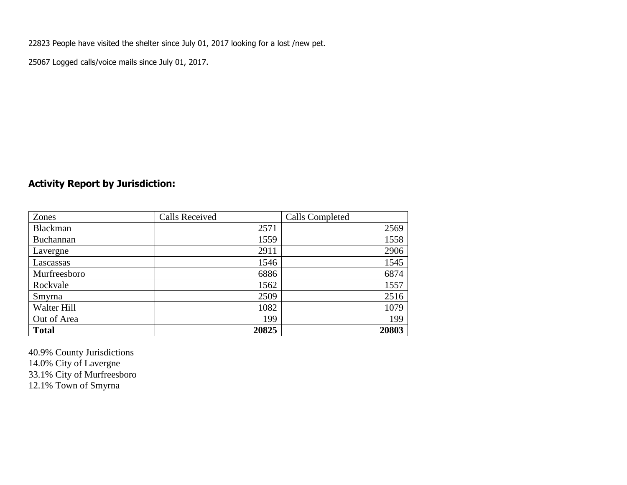22823 People have visited the shelter since July 01, 2017 looking for a lost /new pet.

25067 Logged calls/voice mails since July 01, 2017.

## **Activity Report by Jurisdiction:**

| Zones           | <b>Calls Received</b> | Calls Completed |
|-----------------|-----------------------|-----------------|
| <b>Blackman</b> | 2571                  | 2569            |
| Buchannan       | 1559                  | 1558            |
| Lavergne        | 2911                  | 2906            |
| Lascassas       | 1546                  | 1545            |
| Murfreesboro    | 6886                  | 6874            |
| Rockvale        | 1562                  | 1557            |
| Smyrna          | 2509                  | 2516            |
| Walter Hill     | 1082                  | 1079            |
| Out of Area     | 199                   | 199             |
| <b>Total</b>    | 20825                 | 20803           |

40.9% County Jurisdictions 14.0% City of Lavergne 33.1% City of Murfreesboro 12.1% Town of Smyrna